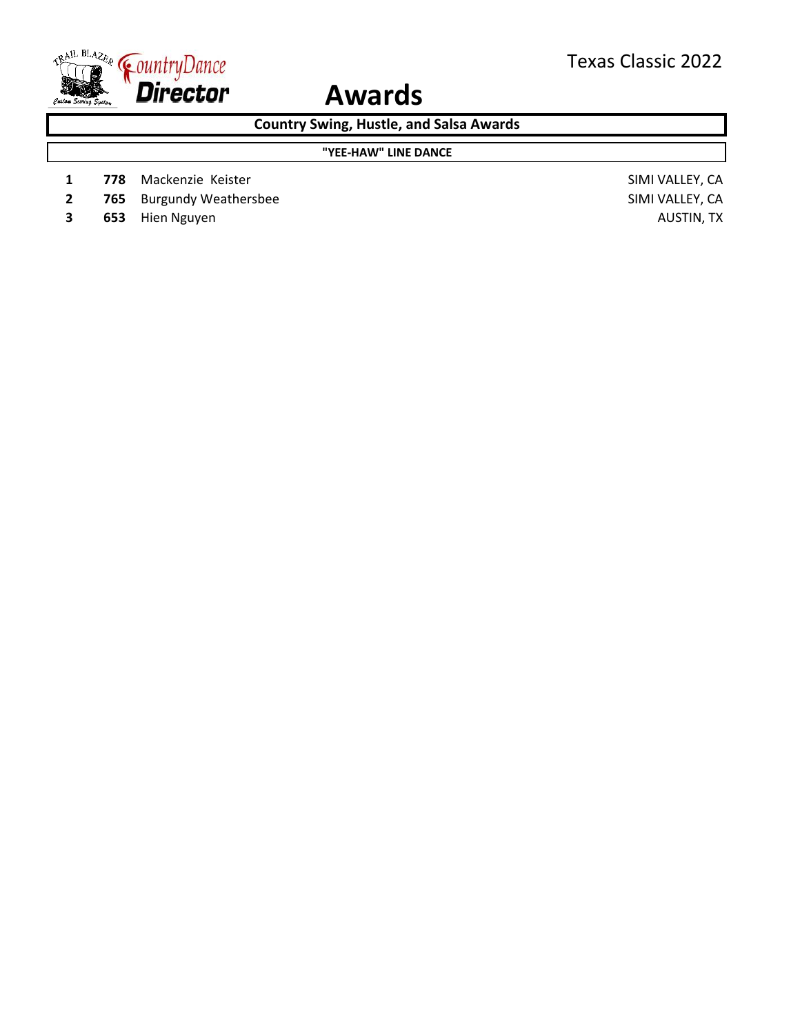

**Country Swing, Hustle, and Salsa Awards**

#### **"YEE-HAW" LINE DANCE**

- **1 778** Mackenzie Keister SIMI VALLEY, CA
- **2 765** Burgundy Weathersbee SIMI VALLEY, CA
- **3 653** Hien Nguyen **AUSTIN**, TX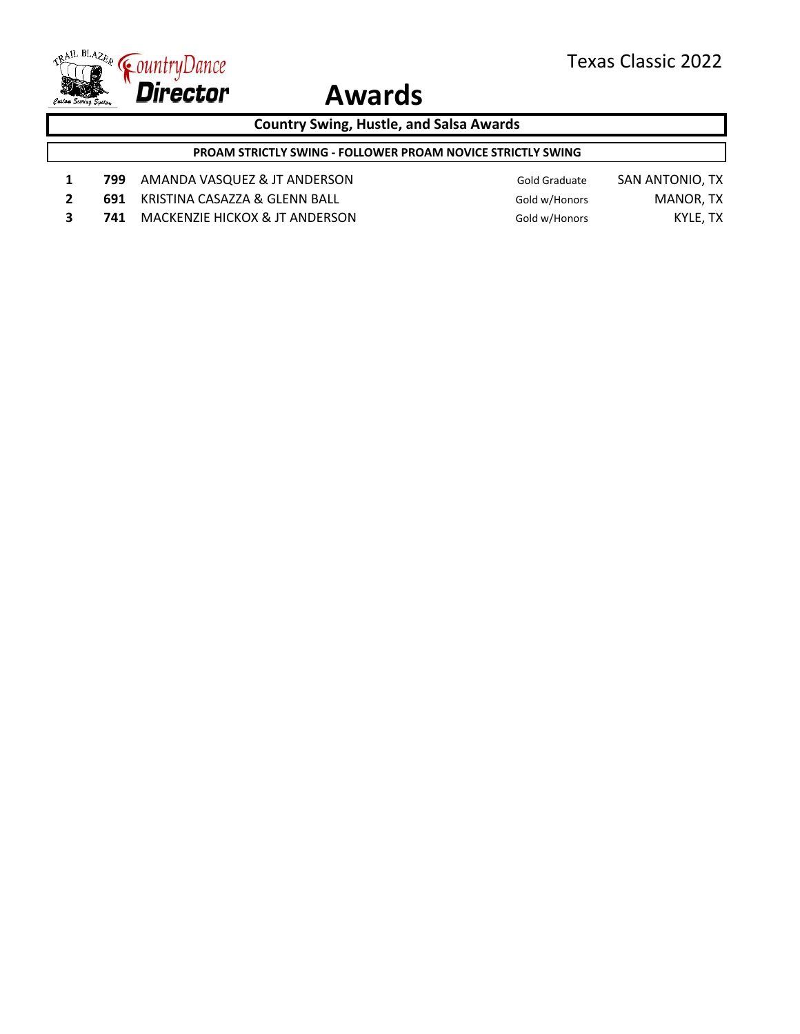

**Country Swing, Hustle, and Salsa Awards**

**PROAM STRICTLY SWING - FOLLOWER PROAM NOVICE STRICTLY SWING**

- 1 **799** AMANDA VASQUEZ & JT ANDERSON Gold Graduate SAN ANTONIO, TX
- **2 691 KRISTINA CASAZZA & GLENN BALL Gold w/Honors MANOR, TX**
- **3 741** MACKENZIE HICKOX & JT ANDERSON Gold w/Honors KYLE, TX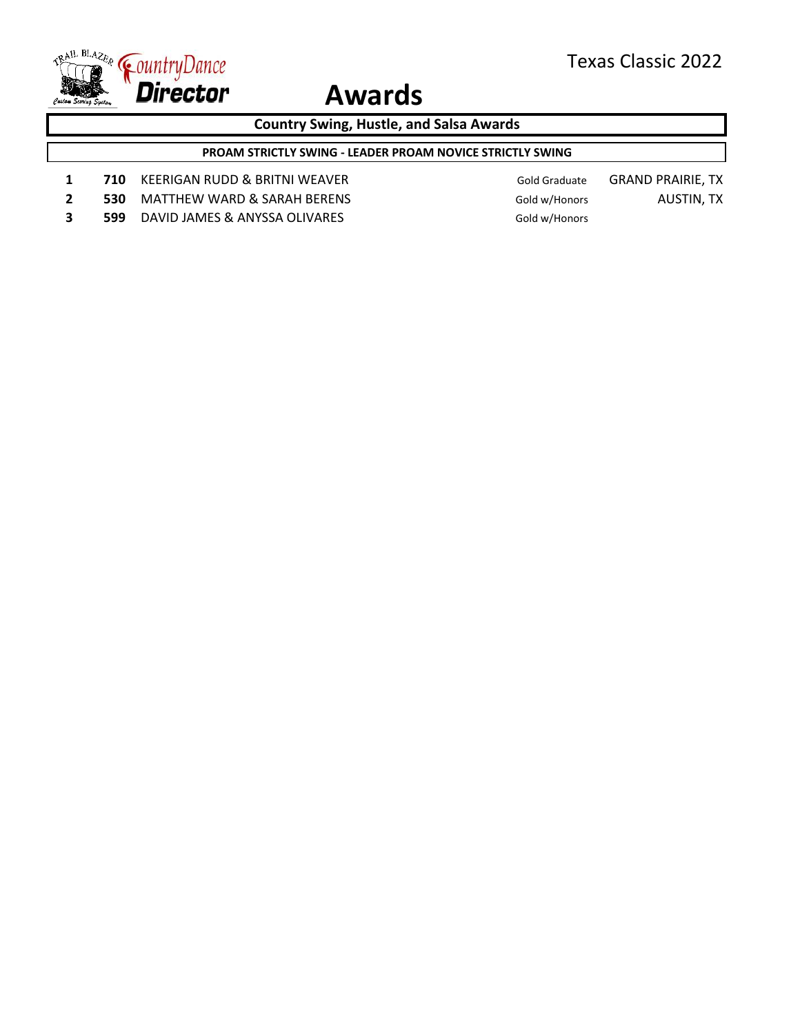

**Country Swing, Hustle, and Salsa Awards**

**PROAM STRICTLY SWING - LEADER PROAM NOVICE STRICTLY SWING**

- 1 **710** KEERIGAN RUDD & BRITNI WEAVER Gold Graduate GRAND PRAIRIE, TX
- **2 530** MATTHEW WARD & SARAH BERENS Gold w/Honors AUSTIN, TX
- **3 599** DAVID JAMES & ANYSSA OLIVARES **Gold w/Honors**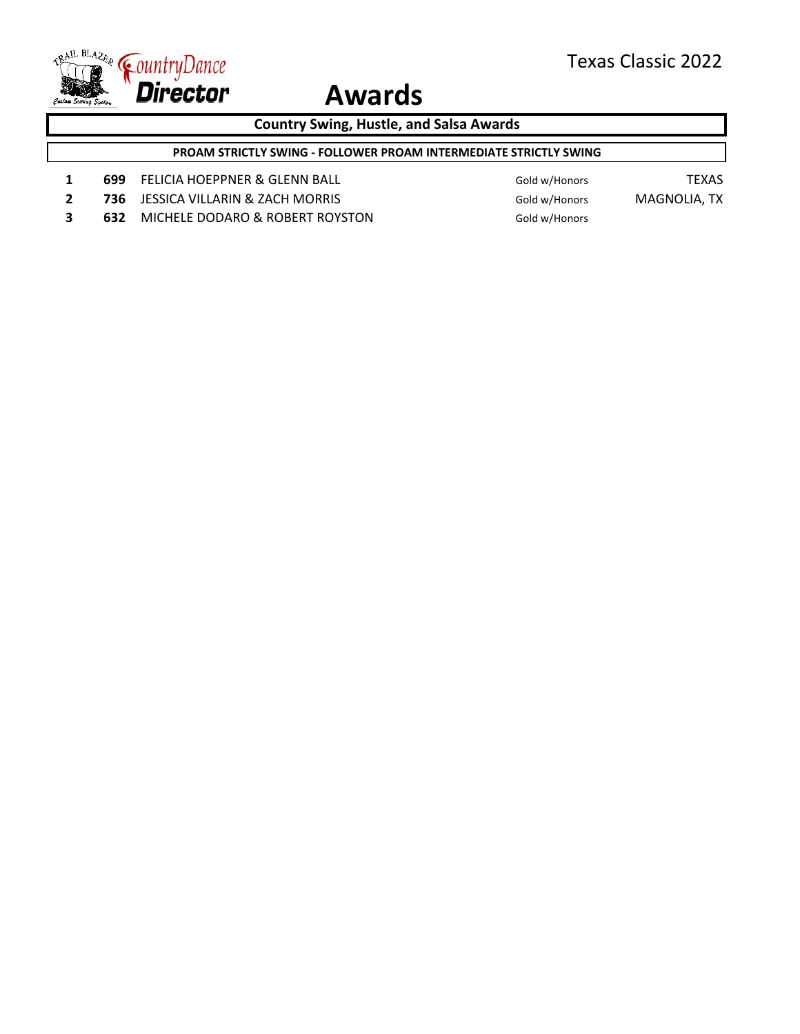

**Country Swing, Hustle, and Salsa Awards**

**PROAM STRICTLY SWING - FOLLOWER PROAM INTERMEDIATE STRICTLY SWING**

- 1 **699** FELICIA HOEPPNER & GLENN BALL Gold w/Honors TEXAS
- **2 736** JESSICA VILLARIN & ZACH MORRIS Gold w/Honors MAGNOLIA, TX
- **3 632** MICHELE DODARO & ROBERT ROYSTON Gold w/Honors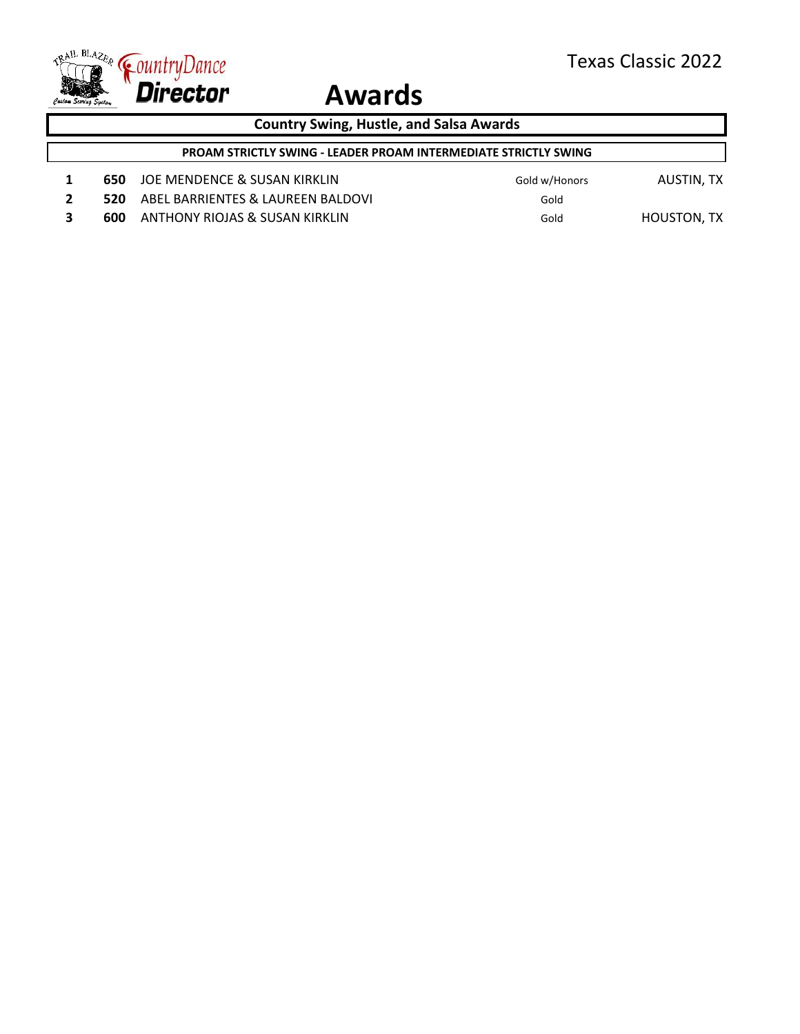

**Country Swing, Hustle, and Salsa Awards**

- 1 **650** JOE MENDENCE & SUSAN KIRKLIN Gold w/Honors AUSTIN, TX
- **2 520** ABEL BARRIENTES & LAUREEN BALDOVI **Gold**
- **3 600** ANTHONY RIOJAS & SUSAN KIRKLIN Gold Gold HOUSTON, TX
- 
- 
-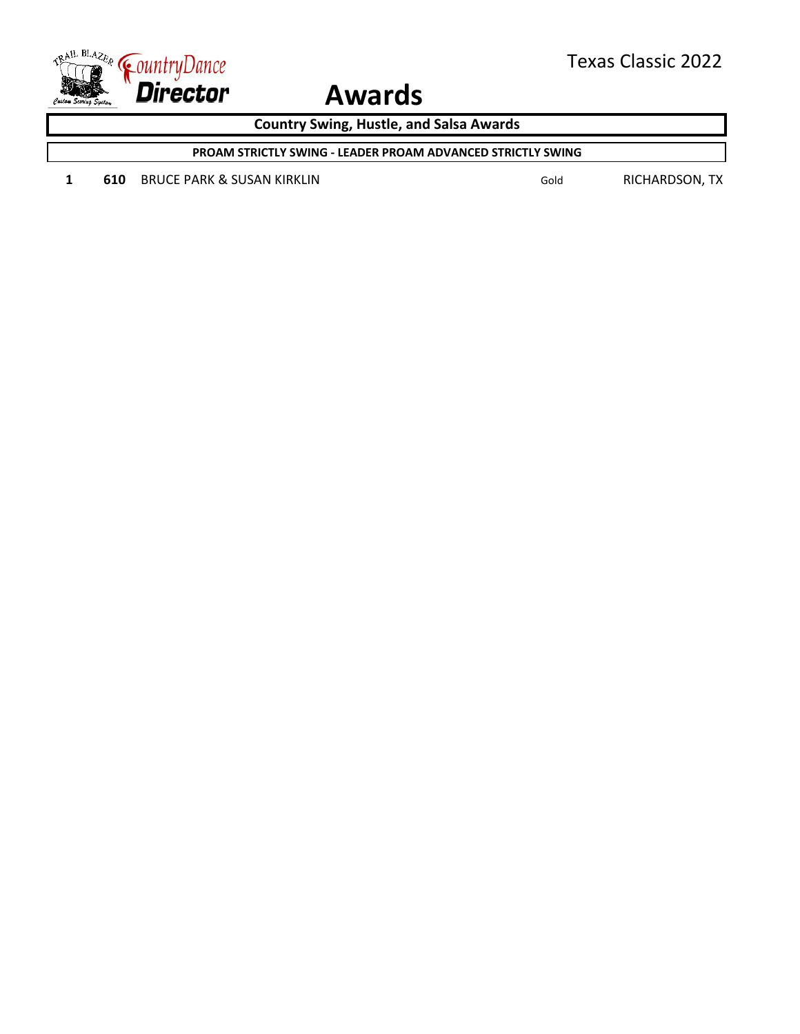

**Country Swing, Hustle, and Salsa Awards**

**PROAM STRICTLY SWING - LEADER PROAM ADVANCED STRICTLY SWING**

1 **610** BRUCE PARK & SUSAN KIRKLIN Gold Gold RICHARDSON, TX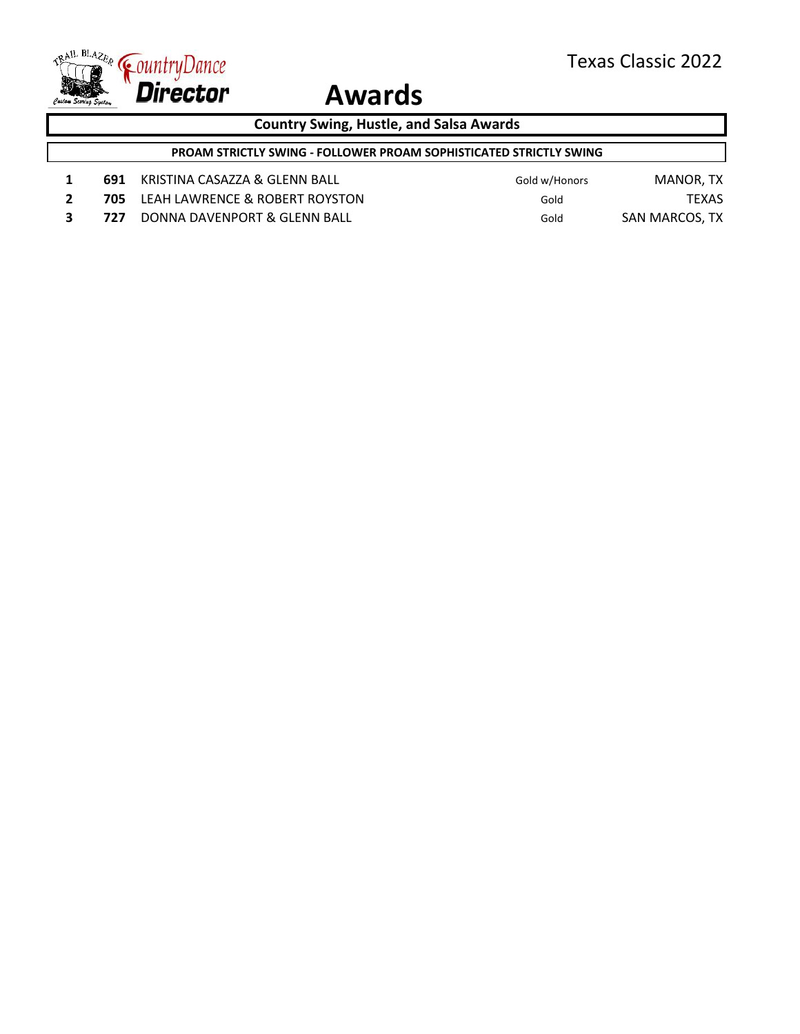

**Country Swing, Hustle, and Salsa Awards**

**PROAM STRICTLY SWING - FOLLOWER PROAM SOPHISTICATED STRICTLY SWING**

- 1 **691** KRISTINA CASAZZA & GLENN BALL Gold w/Honors MANOR, TX
- **2 705** LEAH LAWRENCE & ROBERT ROYSTON Gold Gold TEXAS
- **3 727** DONNA DAVENPORT & GLENN BALL Gold SAN MARCOS, TX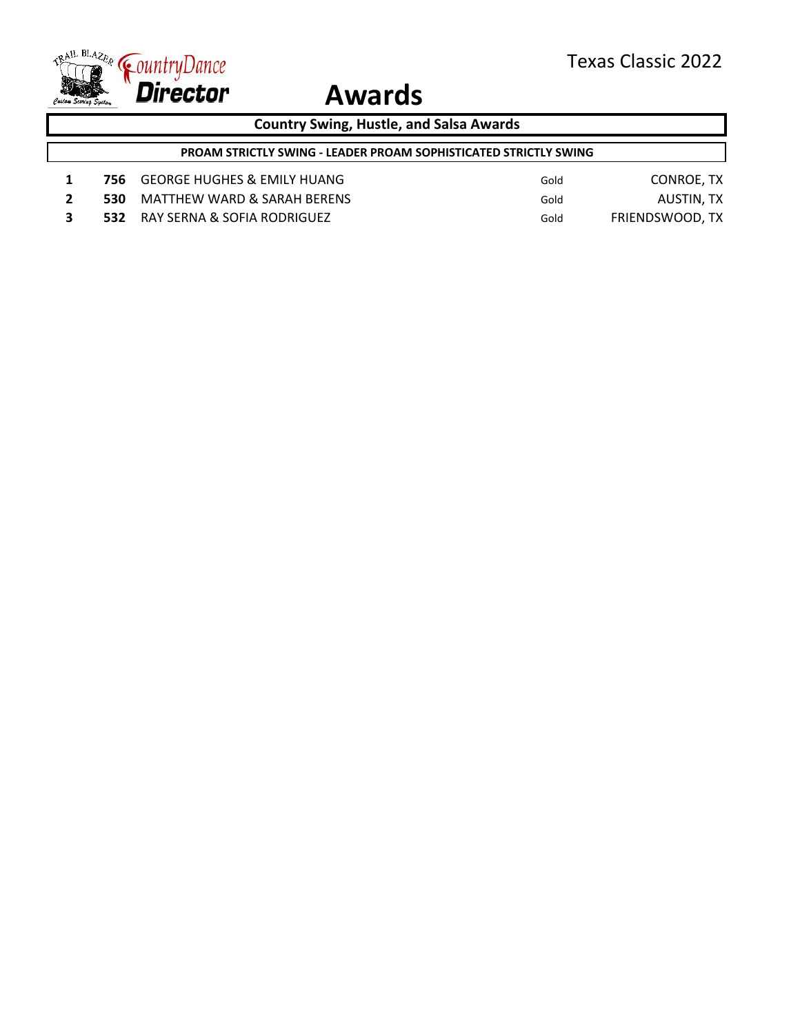

**Country Swing, Hustle, and Salsa Awards**

**PROAM STRICTLY SWING - LEADER PROAM SOPHISTICATED STRICTLY SWING**

- 1 756 GEORGE HUGHES & EMILY HUANG Gold Gold CONROE, TX
- **2 530** MATTHEW WARD & SARAH BERENS Gold Gold AUSTIN, TX
- **3 532** RAY SERNA & SOFIA RODRIGUEZ Gold FRIENDSWOOD, TX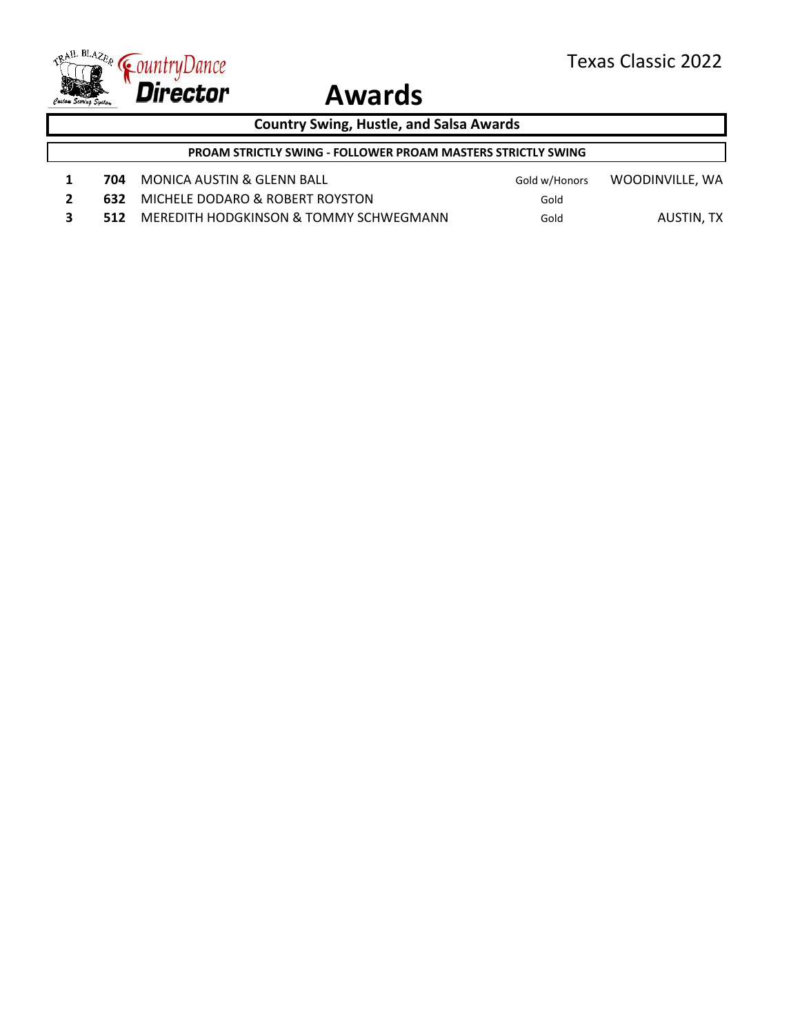ī



### **Awards**

| <b>Country Swing, Hustle, and Salsa Awards</b>                      |     |                                 |      |                               |
|---------------------------------------------------------------------|-----|---------------------------------|------|-------------------------------|
| <b>PROAM STRICTLY SWING - FOLLOWER PROAM MASTERS STRICTLY SWING</b> |     |                                 |      |                               |
|                                                                     | 704 | MONICA AUSTIN & GLENN BALL      |      | Gold w/Honors WOODINVILLE, WA |
|                                                                     | 632 | MICHELE DODARO & ROBERT ROYSTON | Gold |                               |
|                                                                     |     |                                 |      |                               |

**3 512** MEREDITH HODGKINSON & TOMMY SCHWEGMANN Gold AUSTIN, TX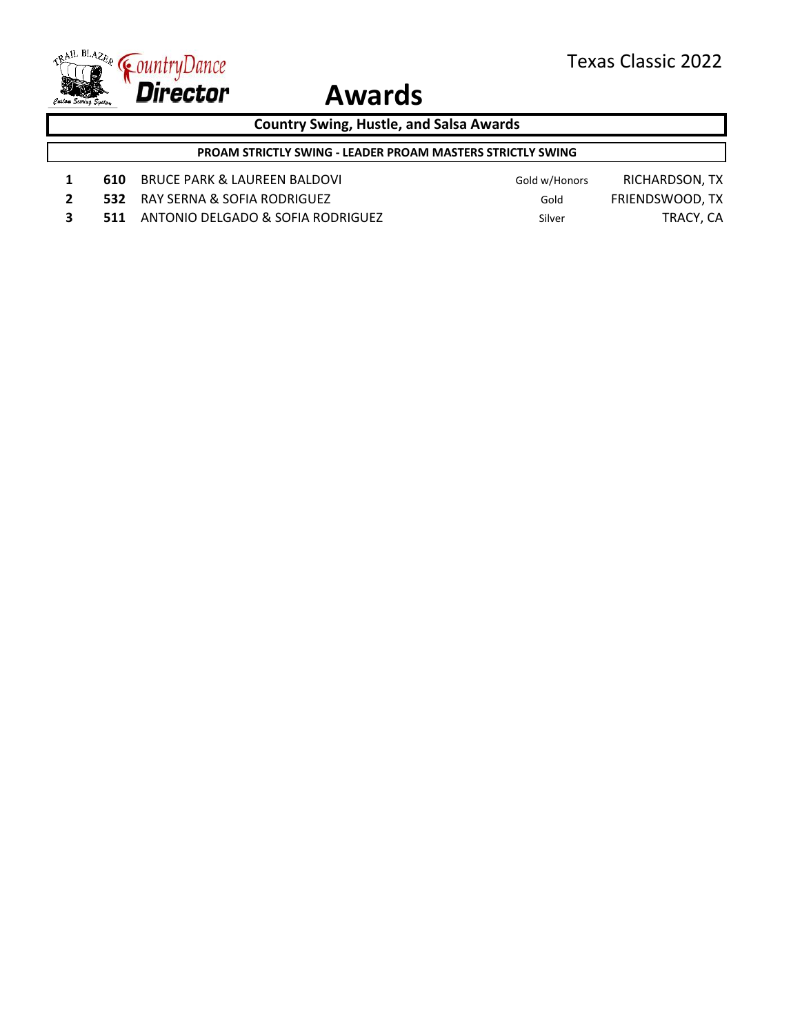

**Country Swing, Hustle, and Salsa Awards**

**PROAM STRICTLY SWING - LEADER PROAM MASTERS STRICTLY SWING**

- 1 **610** BRUCE PARK & LAUREEN BALDOVI Gold w/Honors RICHARDSON, TX
- **2 532** RAY SERNA & SOFIA RODRIGUEZ Gold FRIENDSWOOD, TX
- 
- **3 511 ANTONIO DELGADO & SOFIA RODRIGUEZ Silver Silver TRACY, CA**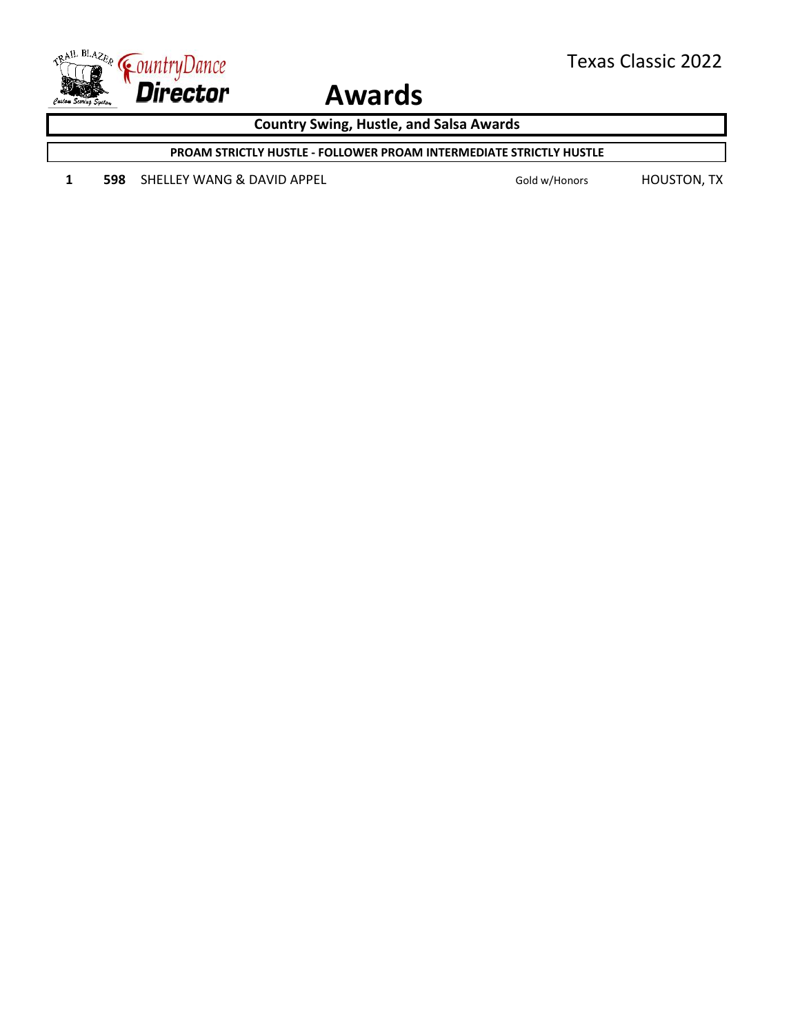

**Country Swing, Hustle, and Salsa Awards**

**PROAM STRICTLY HUSTLE - FOLLOWER PROAM INTERMEDIATE STRICTLY HUSTLE**

1 **598** SHELLEY WANG & DAVID APPEL Gold w/Honors HOUSTON, TX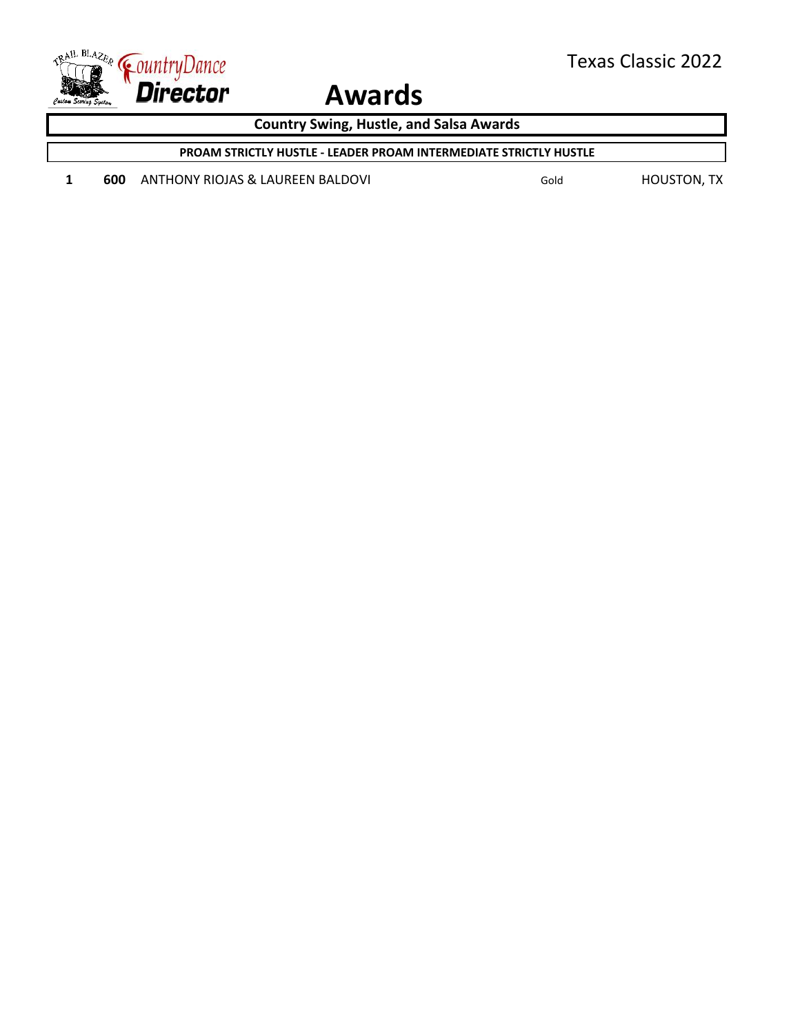

**Country Swing, Hustle, and Salsa Awards**

**PROAM STRICTLY HUSTLE - LEADER PROAM INTERMEDIATE STRICTLY HUSTLE**

1 **600** ANTHONY RIOJAS & LAUREEN BALDOVI **Gold** Gold **Gold** HOUSTON, TX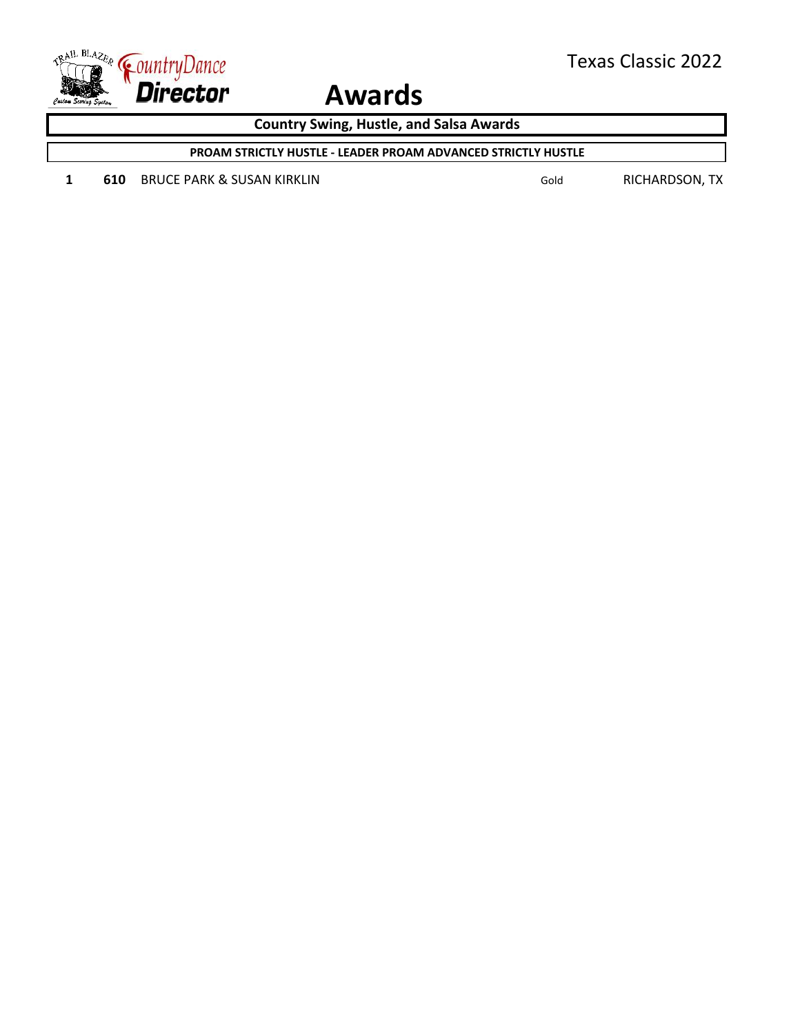

**Country Swing, Hustle, and Salsa Awards**

**PROAM STRICTLY HUSTLE - LEADER PROAM ADVANCED STRICTLY HUSTLE**

1 **610** BRUCE PARK & SUSAN KIRKLIN Gold Gold RICHARDSON, TX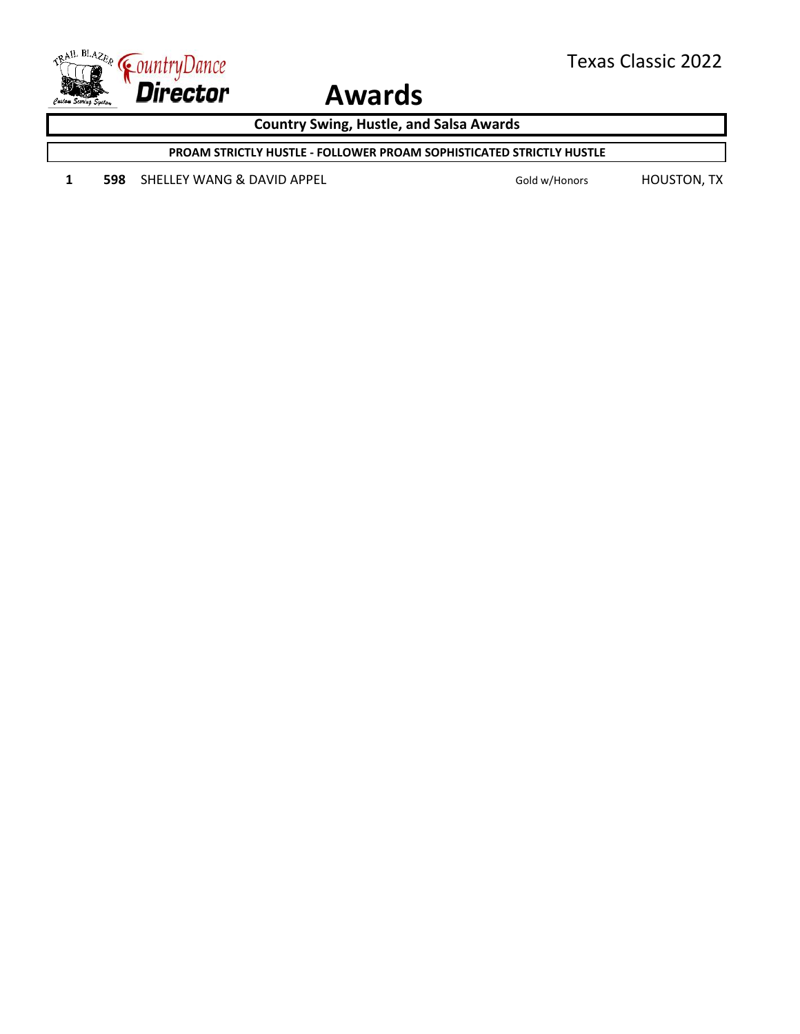

**Country Swing, Hustle, and Salsa Awards**

**PROAM STRICTLY HUSTLE - FOLLOWER PROAM SOPHISTICATED STRICTLY HUSTLE**

1 **598** SHELLEY WANG & DAVID APPEL Gold w/Honors HOUSTON, TX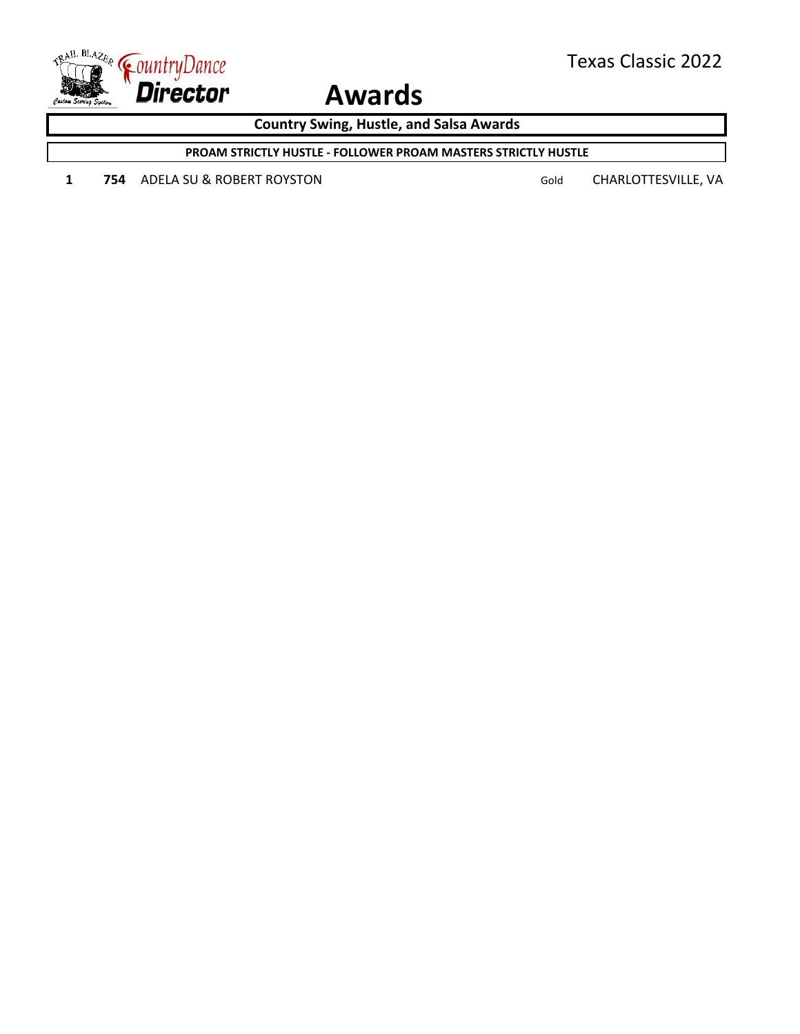

**Country Swing, Hustle, and Salsa Awards**

**PROAM STRICTLY HUSTLE - FOLLOWER PROAM MASTERS STRICTLY HUSTLE**

1 754 ADELA SU & ROBERT ROYSTON Gold CHARLOTTESVILLE, VA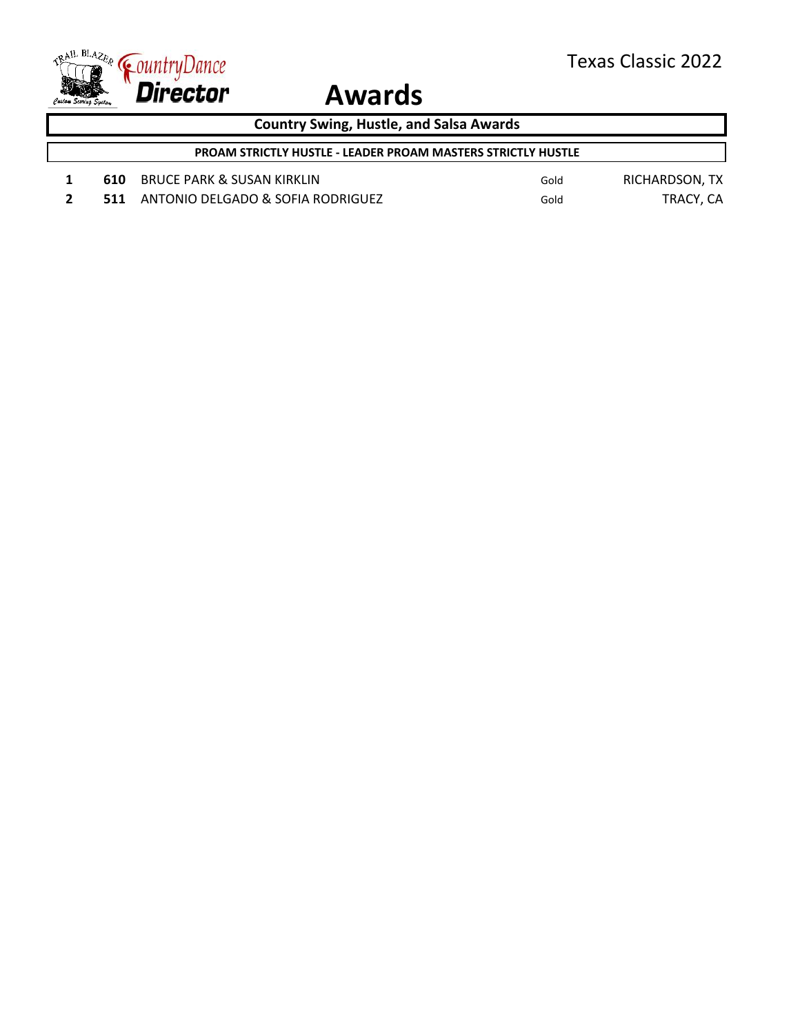

**Country Swing, Hustle, and Salsa Awards**

**PROAM STRICTLY HUSTLE - LEADER PROAM MASTERS STRICTLY HUSTLE**

- 1 **610** BRUCE PARK & SUSAN KIRKLIN Gold Gold RICHARDSON, TX
- **2 511** ANTONIO DELGADO & SOFIA RODRIGUEZ Gold TRACY, CA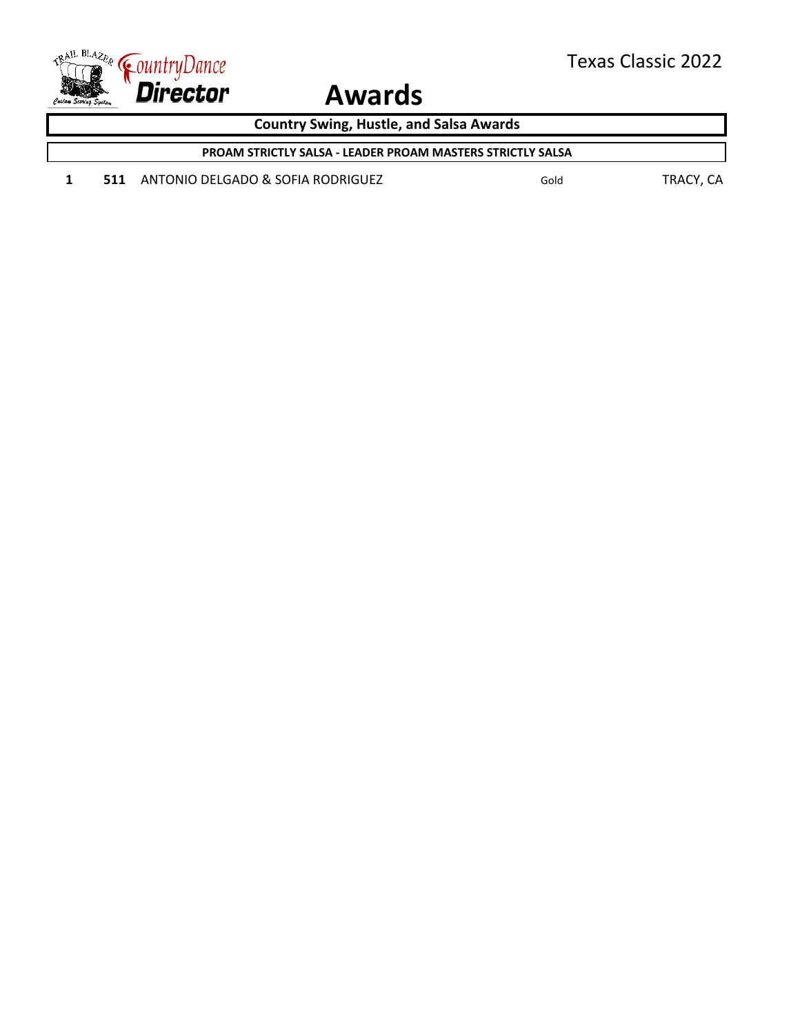

**Country Swing, Hustle, and Salsa Awards**

**PROAM STRICTLY SALSA - LEADER PROAM MASTERS STRICTLY SALSA**

1 **511** ANTONIO DELGADO & SOFIA RODRIGUEZ Gold Gold TRACY, CA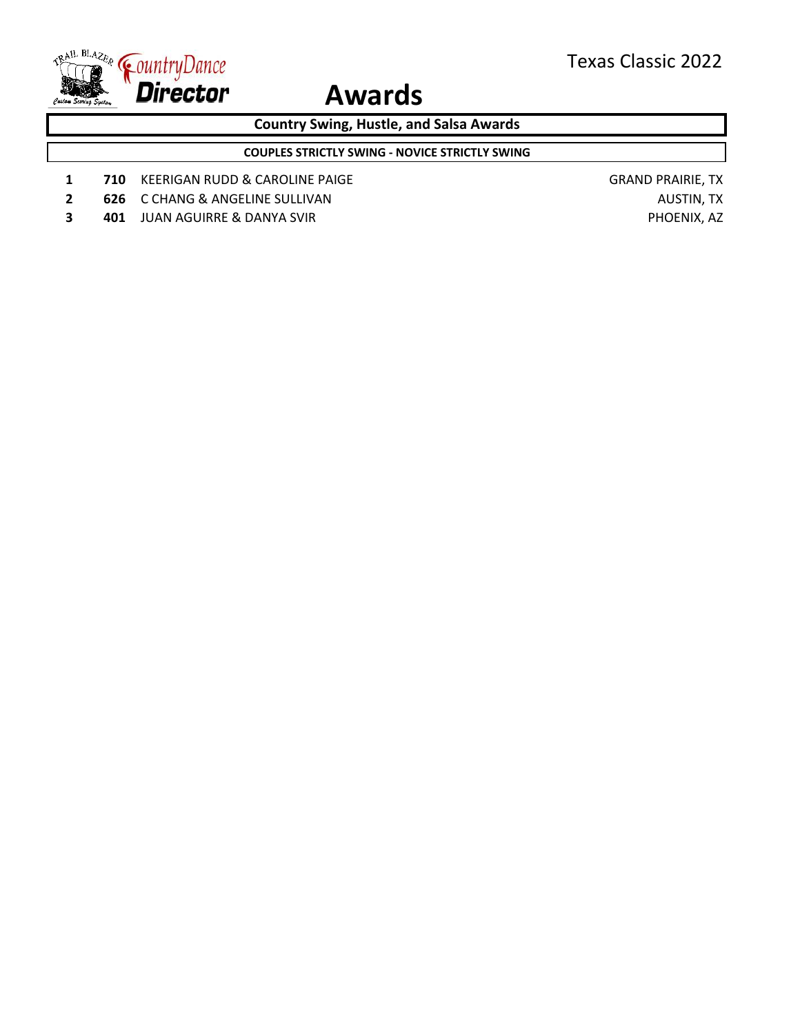

**Country Swing, Hustle, and Salsa Awards**

**COUPLES STRICTLY SWING - NOVICE STRICTLY SWING**

- **1 710** KEERIGAN RUDD & CAROLINE PAIGE **GRAND PRAIRIE, TX**
- **2 626** C CHANG & ANGELINE SULLIVAN **AUSTIN**, TX
- **3 401** JUAN AGUIRRE & DANYA SVIR **PHOENIX, AZ**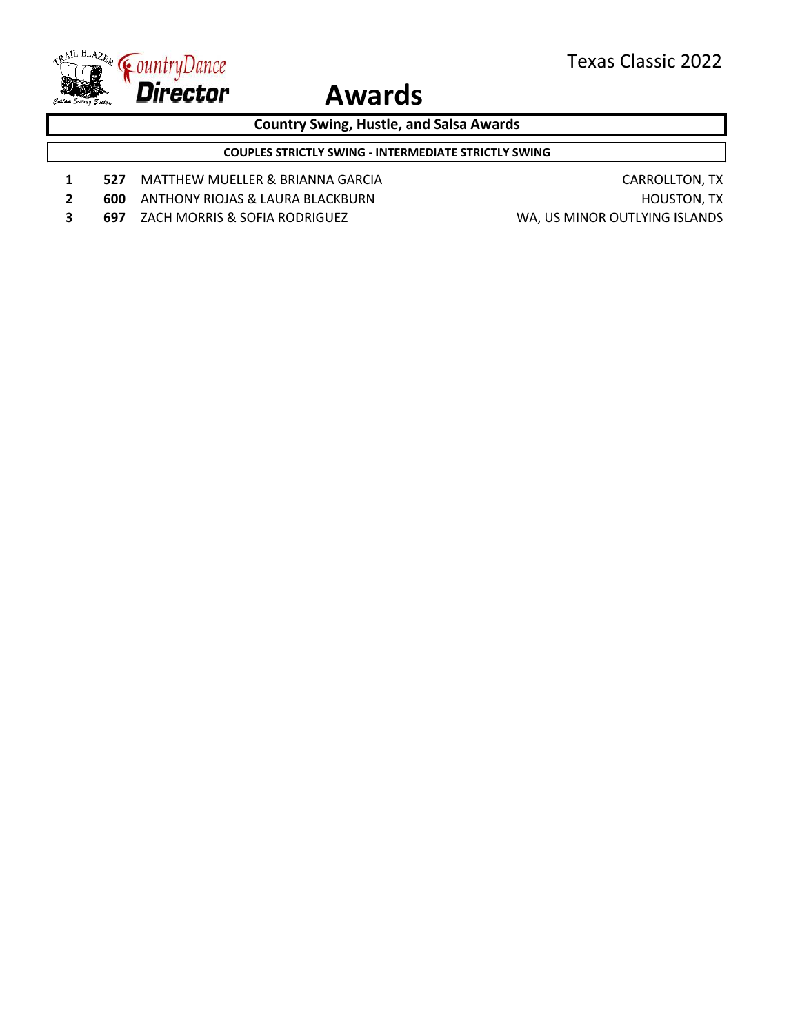

**Country Swing, Hustle, and Salsa Awards**

**COUPLES STRICTLY SWING - INTERMEDIATE STRICTLY SWING**

- 1 **527** MATTHEW MUELLER & BRIANNA GARCIA **CARROLLTON, TX**
- **2 600** ANTHONY RIOJAS & LAURA BLACKBURN **EXAMPLE AND A RESERVE THE STATE OF ANTHONY RIOJAS & LAURA BLACKBURN <b>FINAL**
- **3 697** ZACH MORRIS & SOFIA RODRIGUEZ WA, US MINOR OUTLYING ISLANDS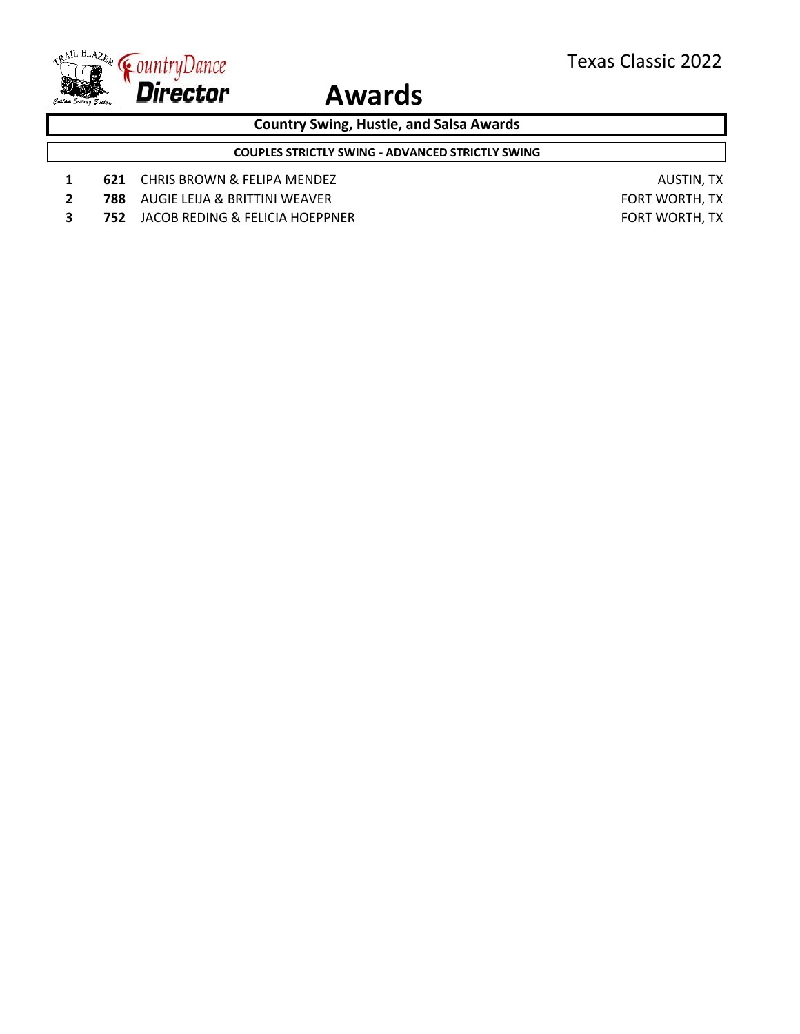

**Country Swing, Hustle, and Salsa Awards**

**COUPLES STRICTLY SWING - ADVANCED STRICTLY SWING**

- 1 **621** CHRIS BROWN & FELIPA MENDEZ **AUSTIN, TX** AUSTIN, TX
- **2 788** AUGIE LEIJA & BRITTINI WEAVER **FORT MORTH, TX**
- **3 752** JACOB REDING & FELICIA HOEPPNER **FORT WORTH, TX**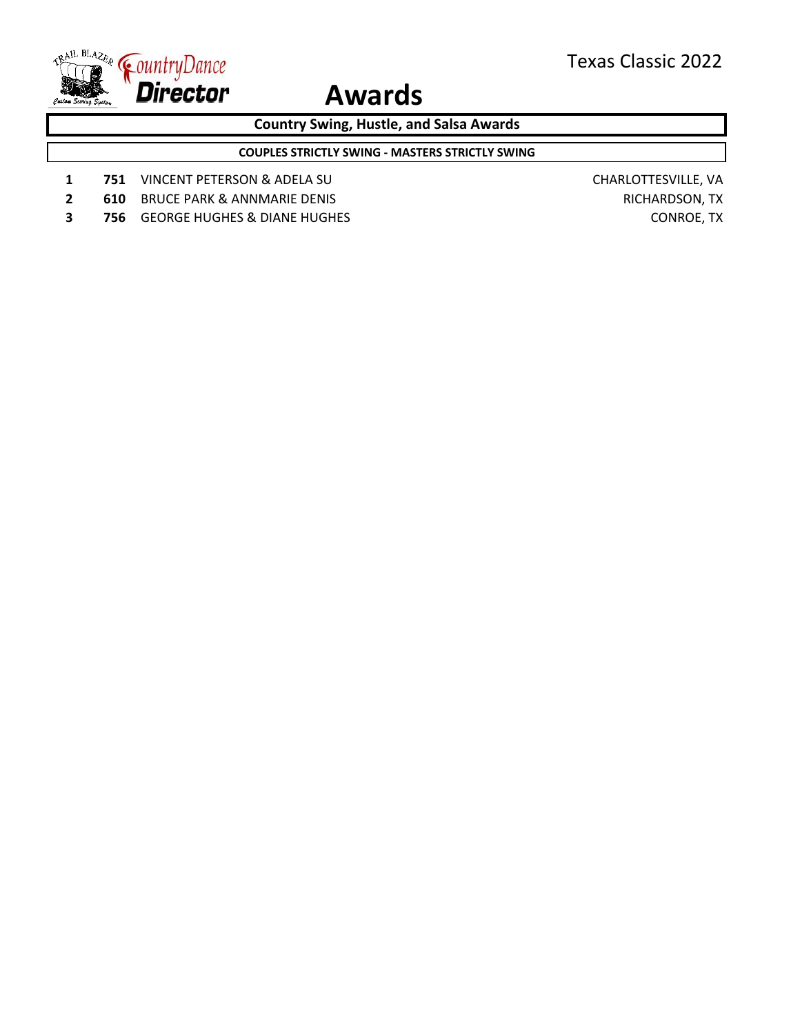

**Country Swing, Hustle, and Salsa Awards**

**COUPLES STRICTLY SWING - MASTERS STRICTLY SWING**

- **1 751** VINCENT PETERSON & ADELA SU CHARLOTTESVILLE, VA
- **2 610** BRUCE PARK & ANNMARIE DENIS **RICHARDSON, TX**
- **3 756** GEORGE HUGHES & DIANE HUGHES **CONS** CONROE, TX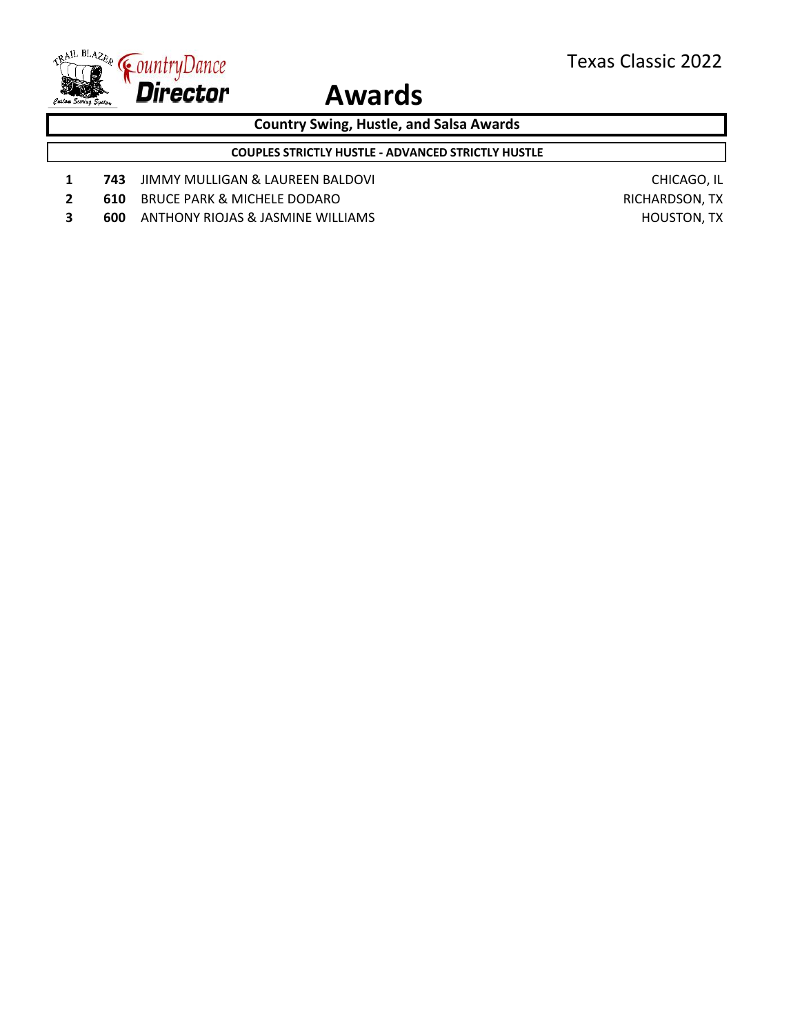

**Country Swing, Hustle, and Salsa Awards**

**COUPLES STRICTLY HUSTLE - ADVANCED STRICTLY HUSTLE**

- **1 743** JIMMY MULLIGAN & LAUREEN BALDOVI **CHICAGO, IL**
- **2 610** BRUCE PARK & MICHELE DODARO RICHARDSON, TX
- **3 600** ANTHONY RIOJAS & JASMINE WILLIAMS **And Account CONTACT AND ACCOUNT AND ACCOUNT AND HOUSTON, TX**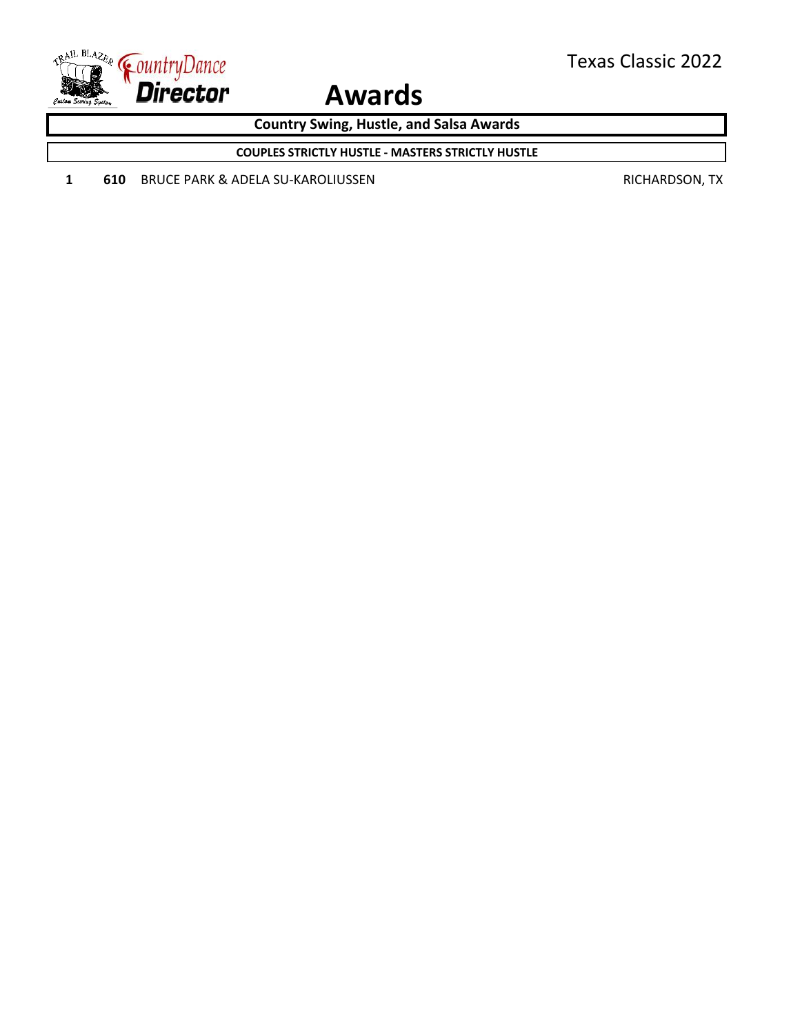

**Country Swing, Hustle, and Salsa Awards**

**COUPLES STRICTLY HUSTLE - MASTERS STRICTLY HUSTLE**

1 **610** BRUCE PARK & ADELA SU-KAROLIUSSEN RICHARDSON, TX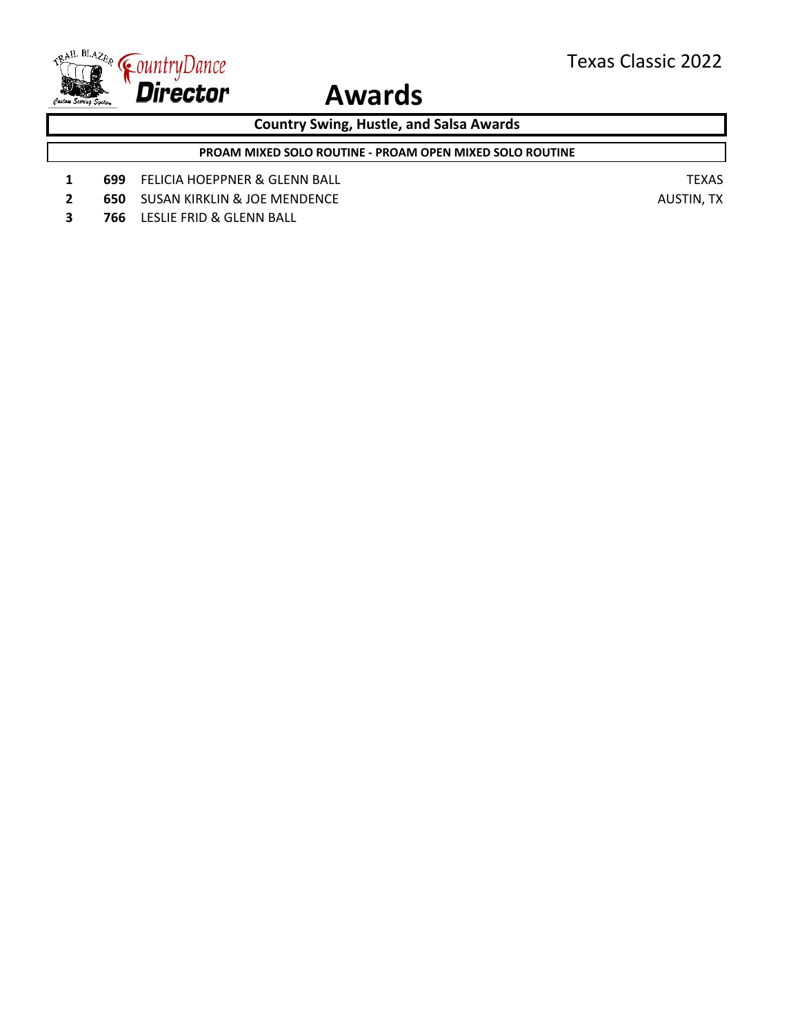

**Country Swing, Hustle, and Salsa Awards**

**PROAM MIXED SOLO ROUTINE - PROAM OPEN MIXED SOLO ROUTINE**

- **1 699** FELICIA HOEPPNER & GLENN BALL **TEXAS**
- **2 650** SUSAN KIRKLIN & JOE MENDENCE **AUSTIN, TX**
- **3 766** LESLIE FRID & GLENN BALL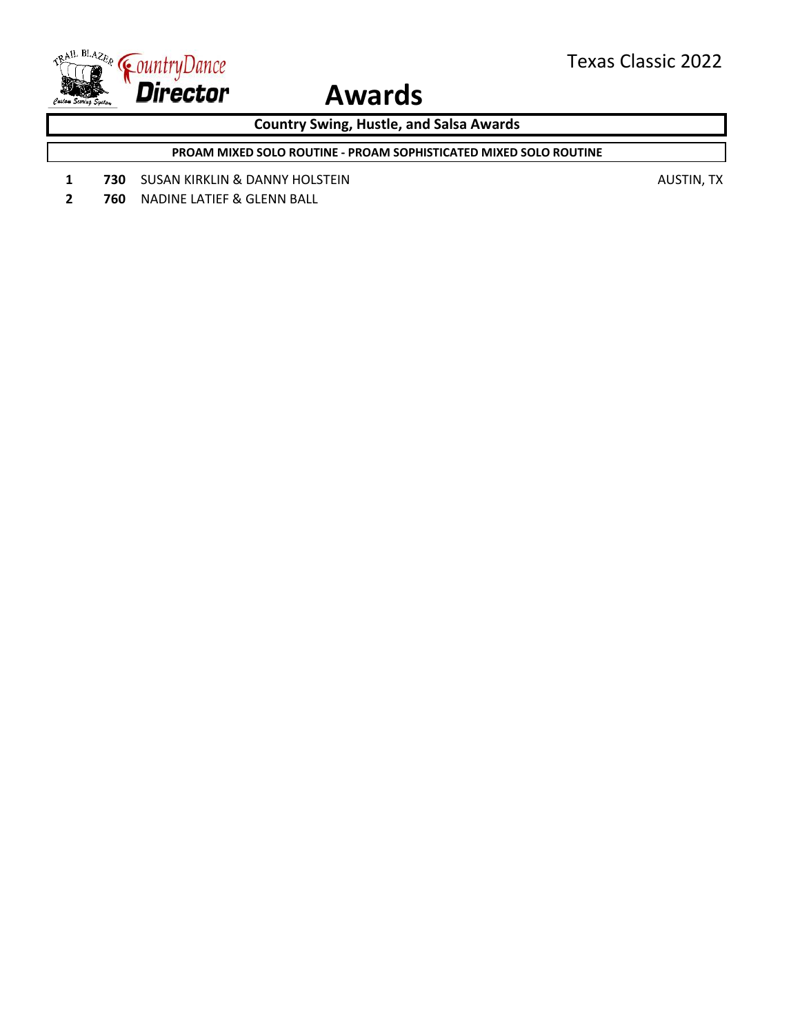

**Country Swing, Hustle, and Salsa Awards**

**PROAM MIXED SOLO ROUTINE - PROAM SOPHISTICATED MIXED SOLO ROUTINE**

**1 730** SUSAN KIRKLIN & DANNY HOLSTEIN **AUSTIN**, TX

**2 760** NADINE LATIEF & GLENN BALL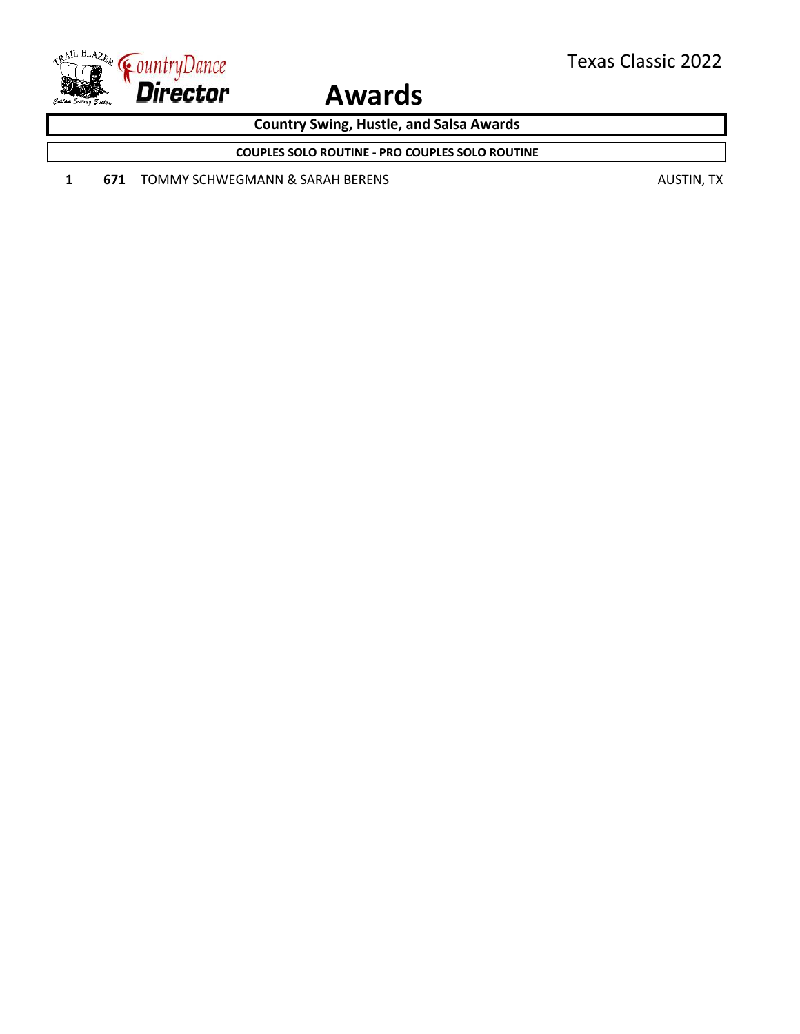

**Country Swing, Hustle, and Salsa Awards**

**COUPLES SOLO ROUTINE - PRO COUPLES SOLO ROUTINE**

**1 671** TOMMY SCHWEGMANN & SARAH BERENS **AUSTIN**, TX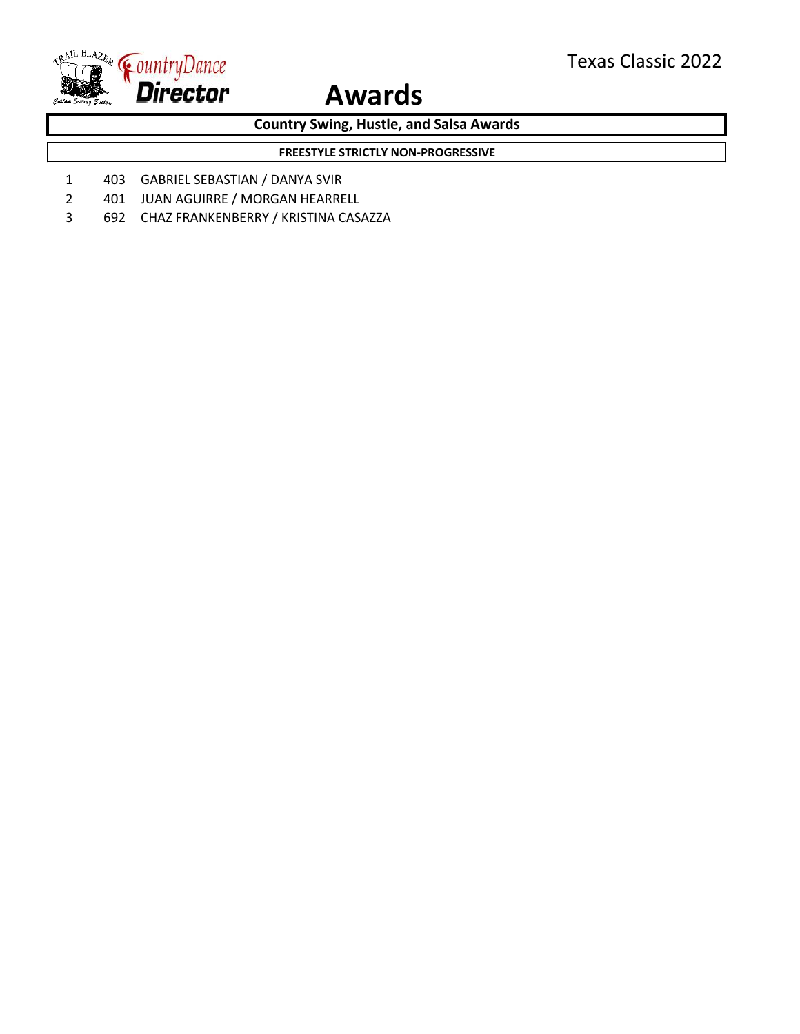

**Country Swing, Hustle, and Salsa Awards**

**FREESTYLE STRICTLY NON-PROGRESSIVE**

- 1 403 GABRIEL SEBASTIAN / DANYA SVIR
- 2 401 JUAN AGUIRRE / MORGAN HEARRELL
- 3 692 CHAZ FRANKENBERRY / KRISTINA CASAZZA